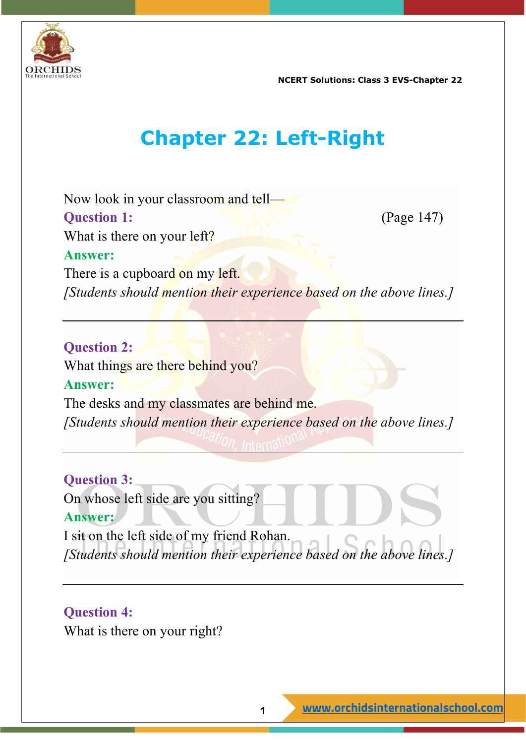

## **Chapter 22: Left-Right**

Now look in your classroom and tell— **Question 1:** (Page 147) What is there on your left? **Answer:** There is a cupboard on my left. *[Students should mention their experience based on the above lines.]*

#### **Question 2:**

What things are there behind you?

#### **Answer:**

The desks and my classmates are behind me. *[Students should mention their experience based on the above lines.]*

**Question 3:** On whose left side are you sitting? **Answer:** I sit on the left side of my friend Rohan. *[Students should mention their experience based on the above lines.]*

**Question 4:** What is there on your right?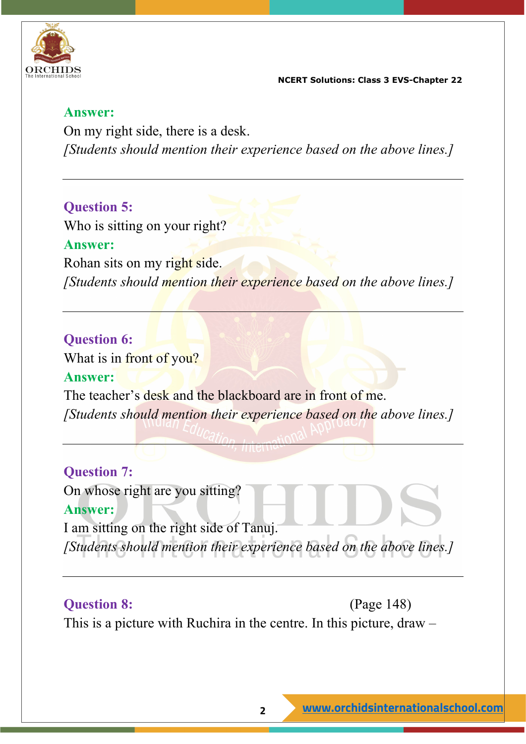

#### **Answer:**

On my right side, there is a desk. *[Students should mention their experience based on the above lines.]*

#### **Question 5:**

Who is sitting on your right? **Answer:** Rohan sits on my right side. *[Students should mention their experience based on the above lines.]*

#### **Question 6:**

What is in front of you?

#### **Answer:**

The teacher's desk and the blackboard are in front of me. *[Students should mention their experience based on the above lines.]*

#### **Question 7:**

On whose right are you sitting?

#### **Answer:**

I am sitting on the right side of Tanuj. *[Students should mention their experience based on the above lines.]*

#### **Question 8:** (Page 148)

This is a picture with Ruchira in the centre. In this picture, draw –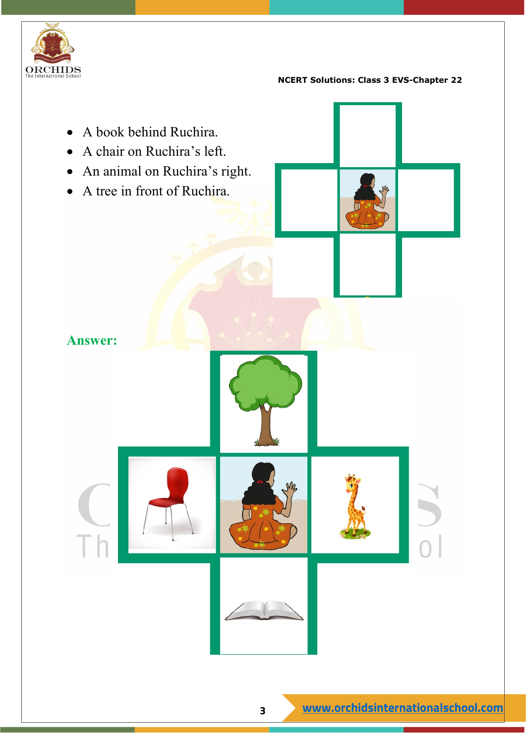

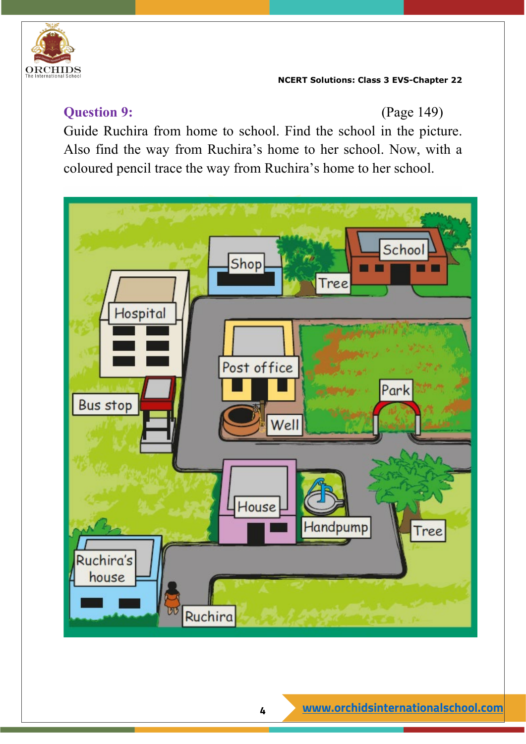

#### **Question 9:** (Page 149)

Guide Ruchira from home to school. Find the school in the picture. Also find the way from Ruchira's home to her school. Now, with a coloured pencil trace the way from Ruchira's home to her school.

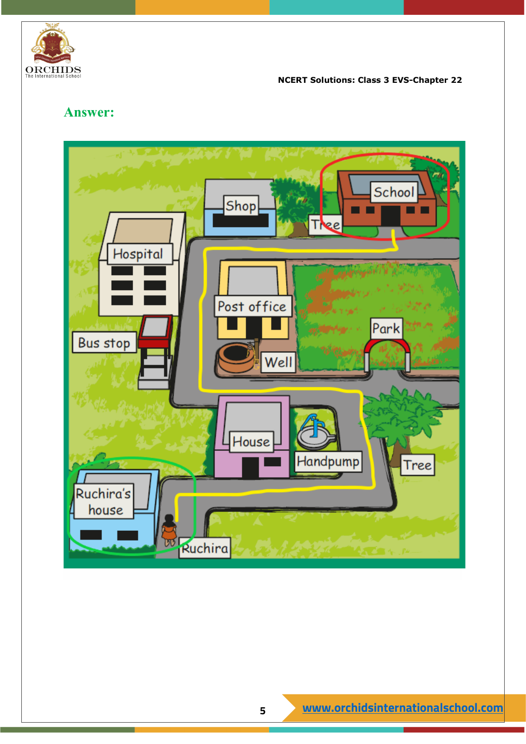

#### **Answer:**

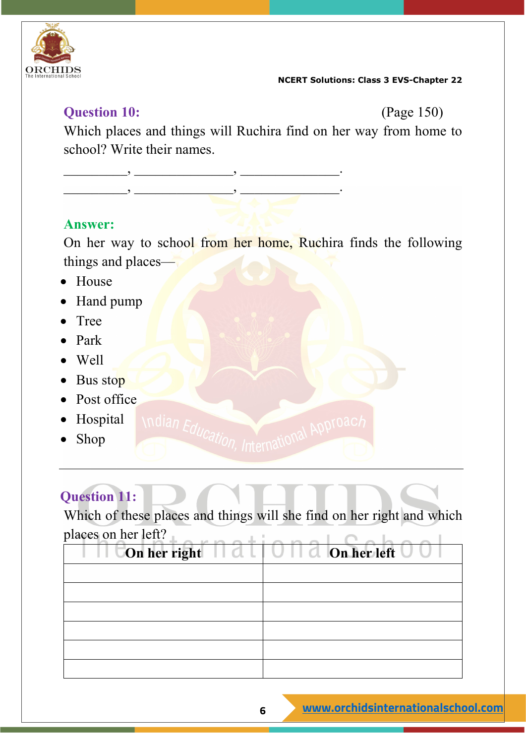

#### **Question 10:** (Page 150)

Which places and things will Ruchira find on her way from home to school? Write their names.

\_\_\_\_\_\_\_\_\_, \_\_\_\_\_\_\_\_\_\_\_\_\_\_, \_\_\_\_\_\_\_\_\_\_\_\_\_\_. \_\_\_\_\_\_\_\_\_, \_\_\_\_\_\_\_\_\_\_\_\_\_\_, \_\_\_\_\_\_\_\_\_\_\_\_\_\_.

#### **Answer:**

On her way to school from her home, Ruchira finds the following things and places—

- House
- Hand pump
- Tree
- Park
- Well
- Bus stop
- Post office
- Hospital
- Shop

### **Question 11:**

Which of these places and things will she find on her right and which places on her left?

Indian Education, International Approach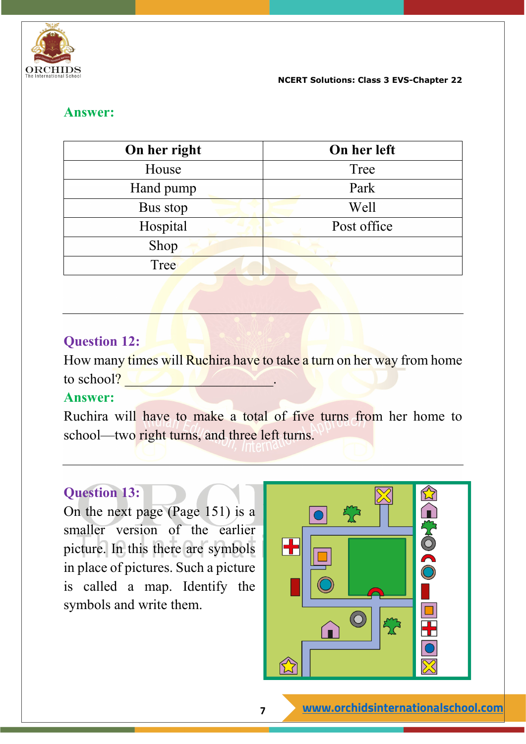

#### **Answer:**

| On her right | On her left |
|--------------|-------------|
| House        | Tree        |
| Hand pump    | Park        |
| Bus stop     | Well        |
| Hospital     | Post office |
| Shop         |             |
| Tree         |             |

#### **Question 12:**

How many times will Ruchira have to take a turn on her way from home to school?

#### **Answer:**

Ruchira will have to make a total of five turns from her home to school—two right turns, and three left turns.

#### **Question 13:**

On the next page (Page 151) is a smaller version of the earlier picture. In this there are symbols in place of pictures. Such a picture is called a map. Identify the symbols and write them.

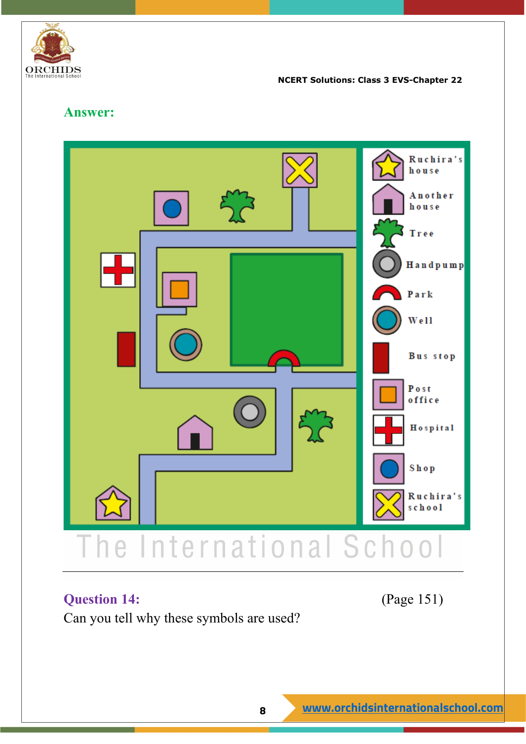

#### **Answer:**



#### **Question 14:** (Page 151)

Can you tell why these symbols are used?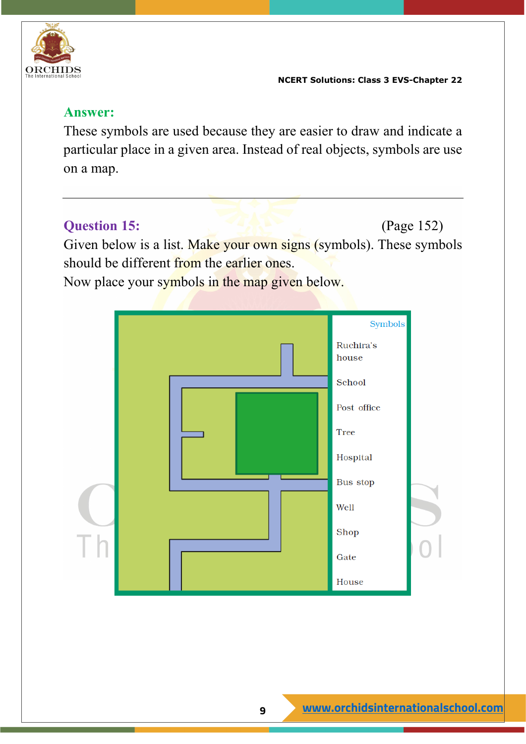

#### **Answer:**

These symbols are used because they are easier to draw and indicate a particular place in a given area. Instead of real objects, symbols are use on a map.

**Question 15:** (Page 152) Given below is a list. Make your own signs (symbols). These symbols should be different from the earlier ones.

Now place your symbols in the map given below.

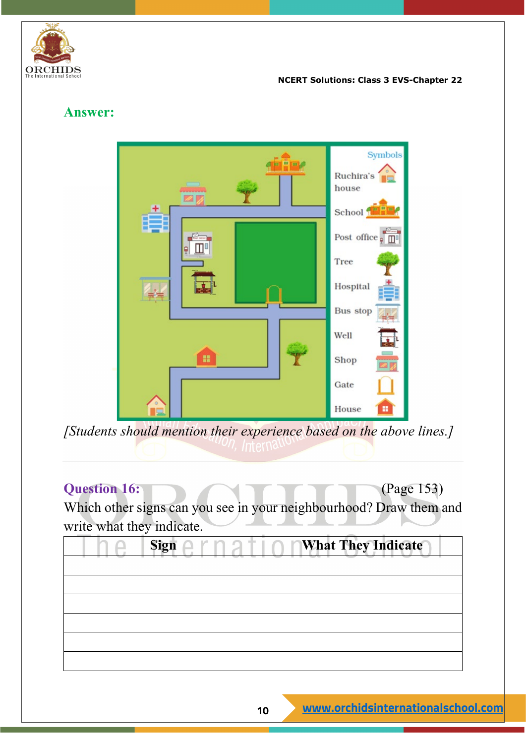

#### **Answer:**



*[Students should mention their experience based on the above lines.]*

#### **Question 16:** (Page 153)

Which other signs can you see in your neighbourhood? Draw them and write what they indicate.

| Sign | <b>What They Indicate</b> |
|------|---------------------------|
|      |                           |
|      |                           |
|      |                           |
|      |                           |
|      |                           |
|      |                           |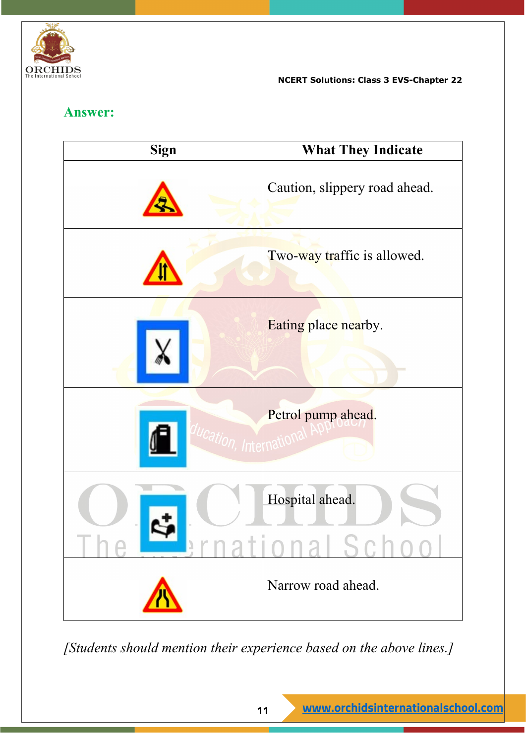

#### **Answer:**

| Sign | <b>What They Indicate</b>     |
|------|-------------------------------|
|      | Caution, slippery road ahead. |
|      | Two-way traffic is allowed.   |
|      | Eating place nearby.          |
|      | Petrol pump ahead.            |
|      | Hospital ahead.               |
|      | Narrow road ahead.            |

*[Students should mention their experience based on the above lines.]*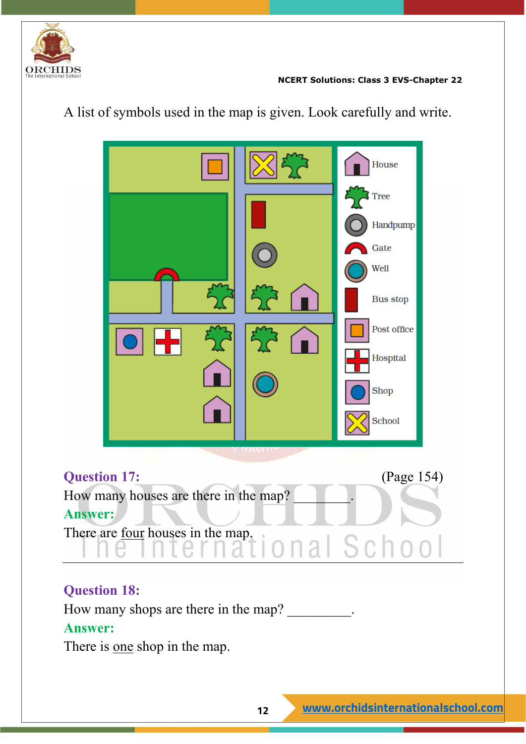



A list of symbols used in the map is given. Look carefully and write.

#### **Question 18:**

How many shops are there in the map?

#### **Answer:**

There is <u>one</u> shop in the map.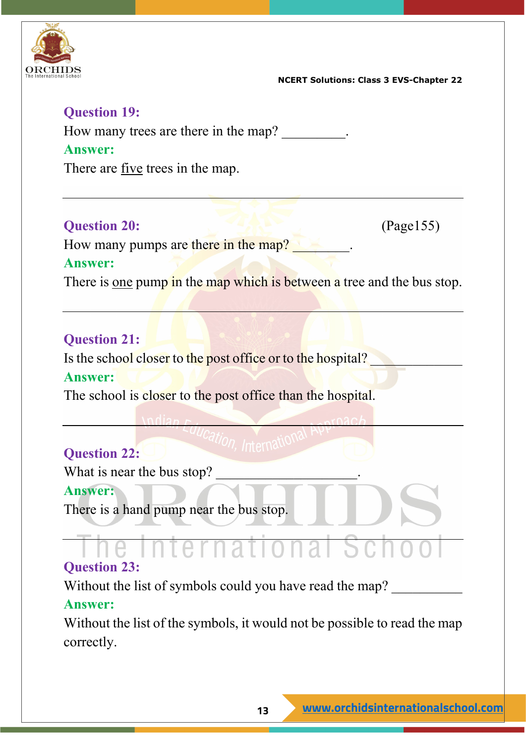

#### **Question 19:**

How many trees are there in the map?

#### **Answer:**

There are five trees in the map.

#### **Question 20:** (Page155)

How many pumps are there in the map?

#### **Answer:**

There is one pump in the map which is between a tree and the bus stop.

#### **Question 21:**

Is the school closer to the post office or to the hospital?

#### **Answer:**

The school is closer to the post office than the hospital.

### **Question 22:**

What is near the bus stop?

#### **Answer:**

There is a hand pump near the bus stop.

# **Question 23:**

Without the list of symbols could you have read the map?

### **Answer:**

Without the list of the symbols, it would not be possible to read the map correctly.